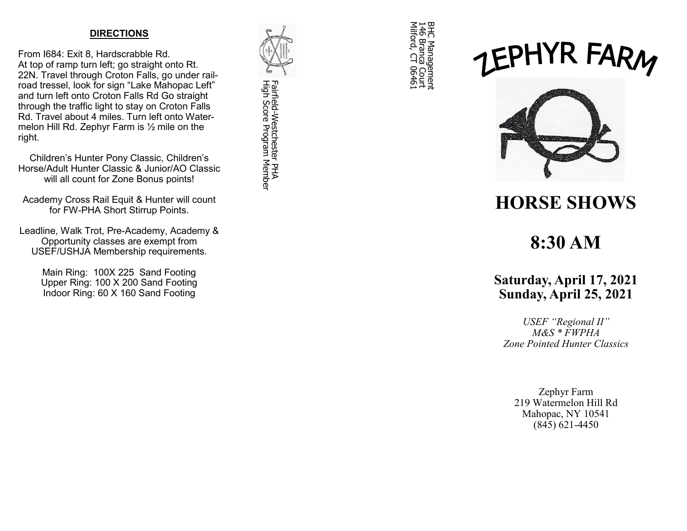#### **DIRECTIONS**

From I684: Exit 8, Hardscrabble Rd. At top of ramp turn left; go straight onto Rt. 22N. Travel through Croton Falls, go under railroad tressel, look for sign "Lake Mahopac Left" and turn left onto Croton Falls Rd Go straight through the traffic light to stay on Croton Falls Rd. Travel about 4 miles. Turn left onto Watermelon Hill Rd. Zephyr Farm is ½ mile on the right.

Children 's Hunter Pony Classic, Children 's Horse/Adult Hunter Classic & Junior/AO Classic will all count for Zone Bonus points!

Academy Cross Rail Equit & Hunter will count for FW -PHA Short Stirrup Points.

Leadline, Walk Trot, Pre -Academy, Academy & Opportunity classes are exempt from USEF/USHJA Membership requirements.

> Main Ring: 100X 225 Sand Footing Upper Ring: 100 X 200 Sand Footing Indoor Ring: 60 X 160 Sand Footing



BHC Management<br>146 Branca Cout<br>Milford, CT 06461 Milford, CT 06461 146 Branca Court BHC Management

# EPHYR FARM



## **HORSE SHOWS**

## **8:30 AM**

### **Saturday, April 17, 2021 Sunday, April 25, 2021**

*USEF "Regional II" M&S \* FWPHA Zone Pointed Hunter Classics*

Zephyr Farm 219 Watermelon Hill Rd Mahopac, NY 10541 (845) 621 -4450